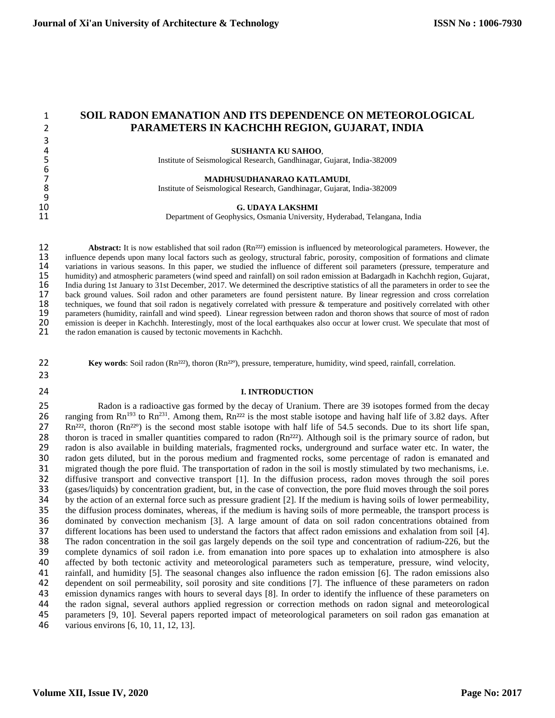# 1 **SOIL RADON EMANATION AND ITS DEPENDENCE ON METEOROLOGICAL**  2 **PARAMETERS IN KACHCHH REGION, GUJARAT, INDIA**

4 **SUSHANTA KU SAHOO**,<br>5 Institute of Seismological Research, Gandhinagar, 5 Institute of Seismological Research, Gandhinagar, Gujarat, India-382009

**MADHUSUDHANARAO KATLAMUDI,**<br>1991 - The Matter of Seismological Research, Gandhinagar, Gujarat, 8 Institute of Seismological Research, Gandhinagar, Gujarat, India-382009

10 **G. UDAYA LAKSHMI**<br>11 Department of Geophysics, Osmania University Department of Geophysics, Osmania University, Hyderabad, Telangana, India

12 **Abstract:** It is now established that soil radon (Rn<sup>222</sup>) emission is influenced by meteorological parameters. However, the 13 influence depends upon many local factors such as geology, structural fabric, porosity, co 13 influence depends upon many local factors such as geology, structural fabric, porosity, composition of formations and climate<br>14 variations in various seasons. In this paper, we studied the influence of different soil p 14 variations in various seasons. In this paper, we studied the influence of different soil parameters (pressure, temperature and 15 humidity) and atmospheric parameters (wind speed and rainfall) on soil radon emission at 15 humidity) and atmospheric parameters (wind speed and rainfall) on soil radon emission at Badargadh in Kachchh region, Gujarat, 16 India during 1st January to 31st December, 2017. We determined the descriptive statistics 16 India during 1st January to 31st December, 2017. We determined the descriptive statistics of all the parameters in order to see the 17 back ground values. Soil radon and other parameters are found persistent nature. By 17 back ground values. Soil radon and other parameters are found persistent nature. By linear regression and cross correlation 18 techniques, we found that soil radon is negatively correlated with pressure & temperature an 18 techniques, we found that soil radon is negatively correlated with pressure & temperature and positively correlated with other<br>19 parameters (humidity, rainfall and wind speed). Linear regression between radon and thoro 19 parameters (humidity, rainfall and wind speed). Linear regression between radon and thoron shows that source of most of radon<br>10 emission is deeper in Kachchh. Interestingly, most of the local earthquakes also occur at 20 emission is deeper in Kachchh. Interestingly, most of the local earthquakes also occur at lower crust. We speculate that most of the radon emanation is caused by tectonic movements in Kachchh. the radon emanation is caused by tectonic movements in Kachchh.

**22 Key words**: Soil radon (Rn<sup>222</sup>), thoron (Rn<sup>22°</sup>), pressure, temperature, humidity, wind speed, rainfall, correlation.

23

3<br>4

6<br>7

 $\frac{9}{10}$ 

### 24 **I. INTRODUCTION**

25 Radon is a radioactive gas formed by the decay of Uranium. There are 39 isotopes formed from the decay 26 ranging from  $\text{Rn}^{193}$  to  $\text{Rn}^{231}$ . Among them,  $\text{Rn}^{222}$  is the most stable isotope and having hal 26 ranging from Rn<sup>193</sup> to Rn<sup>231</sup>. Among them, Rn<sup>222</sup> is the most stable isotope and having half life of 3.82 days. After 27 Rn<sup>222</sup>, thoron (Rn<sup>220</sup>) is the second most stable isotope with half life of 54.5 seconds. Du 27 Rn<sup>222</sup>, thoron (Rn<sup>22°</sup>) is the second most stable isotope with half life of 54.5 seconds. Due to its short life span, 28 thoron is traced in smaller quantities compared to radon (Rn<sup>222</sup>). Although soil is the primar 28 thoron is traced in smaller quantities compared to radon  $(Rn<sup>222</sup>)$ . Although soil is the primary source of radon, but 29 radon is also available in building materials, fragmented rocks, underground and surface wate 29 radon is also available in building materials, fragmented rocks, underground and surface water etc. In water, the<br>20 radon gets diluted, but in the porous medium and fragmented rocks, some percentage of radon is emanate 30 radon gets diluted, but in the porous medium and fragmented rocks, some percentage of radon is emanated and<br>31 migrated though the pore fluid. The transportation of radon in the soil is mostly stimulated by two mechanis 31 migrated though the pore fluid. The transportation of radon in the soil is mostly stimulated by two mechanisms, i.e.<br>32 diffusive transport and convective transport [1]. In the diffusion process, radon moves through the 32 diffusive transport and convective transport [1]. In the diffusion process, radon moves through the soil pores<br>33 (gases/liquids) by concentration gradient, but, in the case of convection, the pore fluid moves through t 33 (gases/liquids) by concentration gradient, but, in the case of convection, the pore fluid moves through the soil pores 34 by the action of an external force such as pressure gradient [2]. If the medium is having soils of lower permeability,<br>35 the diffusion process dominates, whereas, if the medium is having soils of more permeable, the tr the diffusion process dominates, whereas, if the medium is having soils of more permeable, the transport process is 36 dominated by convection mechanism [3]. A large amount of data on soil radon concentrations obtained from<br>37 different locations has been used to understand the factors that affect radon emissions and exhalation from soi 37 different locations has been used to understand the factors that affect radon emissions and exhalation from soil [4].<br>38 The radon concentration in the soil gas largely depends on the soil type and concentration of radi 38 The radon concentration in the soil gas largely depends on the soil type and concentration of radium-226, but the<br>39 complete dynamics of soil radon i.e. from emanation into pore spaces up to exhalation into atmosphere 39 complete dynamics of soil radon i.e. from emanation into pore spaces up to exhalation into atmosphere is also<br>40 affected by both tectonic activity and meteorological parameters such as temperature, pressure, wind veloc 40 affected by both tectonic activity and meteorological parameters such as temperature, pressure, wind velocity,<br>41 rainfall, and humidity [5]. The seasonal changes also influence the radon emission [6]. The radon emissio 41 rainfall, and humidity [5]. The seasonal changes also influence the radon emission [6]. The radon emissions also<br>42 dependent on soil permeability, soil porosity and site conditions [7]. The influence of these parameter 42 dependent on soil permeability, soil porosity and site conditions [7]. The influence of these parameters on radon<br>43 emission dynamics ranges with hours to several days [8]. In order to identify the influence of these p 43 emission dynamics ranges with hours to several days [8]. In order to identify the influence of these parameters on the radon signal, several authors applied regression or correction methods on radon signal and meteorolo 44 the radon signal, several authors applied regression or correction methods on radon signal and meteorological<br>45 parameters [9, 10]. Several papers reported impact of meteorological parameters on soil radon gas emanatio 45 parameters [9, 10]. Several papers reported impact of meteorological parameters on soil radon gas emanation at 46 various environs [6, 10, 11, 12, 13]. various environs [6, 10, 11, 12, 13].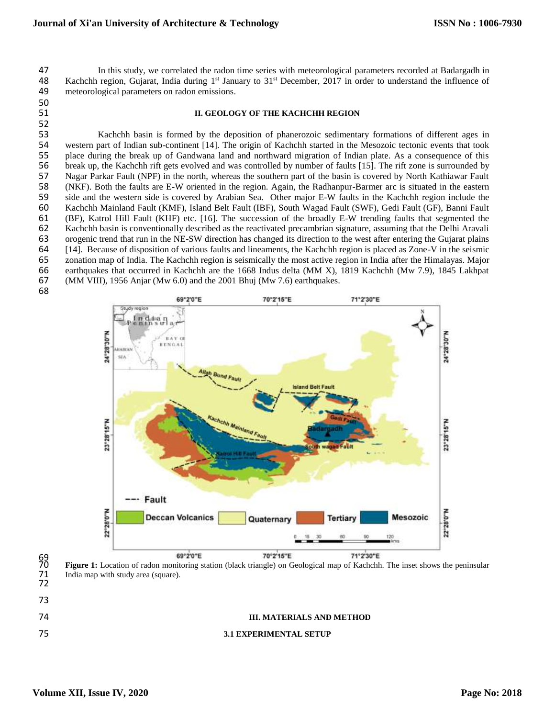47 In this study, we correlated the radon time series with meteorological parameters recorded at Badargadh in<br>48 Kachchh region, Gujarat, India during 1<sup>st</sup> January to 31<sup>st</sup> December, 2017 in order to understand the influ 48 Kachchh region, Gujarat, India during  $1<sup>st</sup>$  January to  $31<sup>st</sup>$  December, 2017 in order to understand the influence of meteorological parameters on radon emissions. 

## **II. GEOLOGY OF THE KACHCHH REGION**

 Kachchh basin is formed by the deposition of phanerozoic sedimentary formations of different ages in western part of Indian sub-continent [14]. The origin of Kachchh started in the Mesozoic tectonic events that took place during the break up of Gandwana land and northward migration of Indian plate. As a consequence of this break up, the Kachchh rift gets evolved and was controlled by number of faults [15]. The rift zone is surrounded by Nagar Parkar Fault (NPF) in the north, whereas the southern part of the basin is covered by North Kathiawar Fault (NKF). Both the faults are E-W oriented in the region. Again, the Radhanpur-Barmer arc is situated in the eastern side and the western side is covered by Arabian Sea. Other major E-W faults in the Kachchh region include the Kachchh Mainland Fault (KMF), Island Belt Fault (IBF), South Wagad Fault (SWF), Gedi Fault (GF), Banni Fault (BF), Katrol Hill Fault (KHF) etc. [16]. The succession of the broadly E-W trending faults that segmented the 62 Kachchh basin is conventionally described as the reactivated precambrian signature, assuming that the Delhi Aravali<br>63 orogenic trend that run in the NE-SW direction has changed its direction to the west after entering 63 orogenic trend that run in the NE-SW direction has changed its direction to the west after entering the Gujarat plains 64 [14]. Because of disposition of various faults and lineaments, the Kachchh region is placed as Zo [14]. Because of disposition of various faults and lineaments, the Kachchh region is placed as Zone-V in the seismic zonation map of India. The Kachchh region is seismically the most active region in India after the Himalayas. Major earthquakes that occurred in Kachchh are the 1668 Indus delta (MM X), 1819 Kachchh (Mw 7.9), 1845 Lakhpat (MM VIII), 1956 Anjar (Mw 6.0) and the 2001 Bhuj (Mw 7.6) earthquakes.





 **Figure 1:** Location of radon monitoring station (black triangle) on Geological map of Kachchh. The inset shows the peninsular 71 India map with study area (square). India map with study area (square).

- 
- **III. MATERIALS AND METHOD**



# **3.1 EXPERIMENTAL SETUP**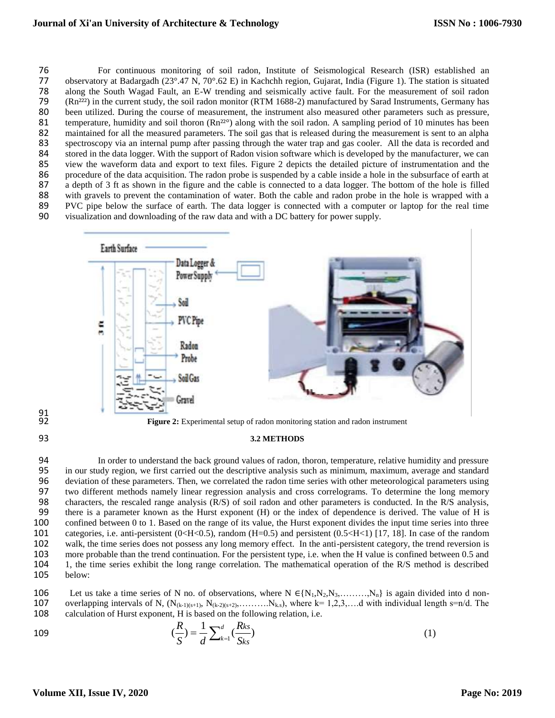76 For continuous monitoring of soil radon, Institute of Seismological Research (ISR) established an<br>77 observatory at Badargadh (23° 47 N, 70° 62 E) in Kachchh region, Guiarat, India (Figure 1). The station is situated 77 observatory at Badargadh ( $23^{\circ}$ .47 N,  $70^{\circ}$ .62 E) in Kachchh region, Gujarat, India (Figure 1). The station is situated along the South Wagad Fault, an E-W trending and seismically active fault. For the measureme 78 along the South Wagad Fault, an E-W trending and seismically active fault. For the measurement of soil radon 79 (Rn<sup>222</sup>) in the current study, the soil radon monitor (RTM 1688-2) manufactured by Sarad Instruments, Germ (Rn<sup>222</sup>) in the current study, the soil radon monitor (RTM 1688-2) manufactured by Sarad Instruments, Germany has 80 been utilized. During the course of measurement, the instrument also measured other parameters such as pressure, 81 temperature, humidity and soil thoron  $(Rn^{22}°)$  along with the soil radon. A sampling period of 10 minutes has been<br>82 maintained for all the measured parameters. The soil gas that is released during the measurement i 82 maintained for all the measured parameters. The soil gas that is released during the measurement is sent to an alpha<br>83 spectroscopy via an internal pump after passing through the water trap and gas cooler. All the data 83 spectroscopy via an internal pump after passing through the water trap and gas cooler. All the data is recorded and<br>84 stored in the data logger. With the support of Radon vision software which is developed by the manuf 84 stored in the data logger. With the support of Radon vision software which is developed by the manufacturer, we can<br>85 view the waveform data and export to text files. Figure 2 depicts the detailed picture of instrument 85 view the waveform data and export to text files. Figure 2 depicts the detailed picture of instrumentation and the 86 procedure of the data acquisition. The radon probe is suspended by a cable inside a hole in the subsurface of earth at 87 a depth of 3 ft as shown in the figure and the cable is connected to a data logger. The bottom of the hole is filled<br>88 with gravels to prevent the contamination of water. Both the cable and radon probe in the hole is w with gravels to prevent the contamination of water. Both the cable and radon probe in the hole is wrapped with a 89 PVC pipe below the surface of earth. The data logger is connected with a computer or laptop for the real time<br>90 visualization and downloading of the raw data and with a DC battery for power supply. 90 visualization and downloading of the raw data and with a DC battery for power supply.



#### 93 **3.2 METHODS**

 In order to understand the back ground values of radon, thoron, temperature, relative humidity and pressure in our study region, we first carried out the descriptive analysis such as minimum, maximum, average and standard deviation of these parameters. Then, we correlated the radon time series with other meteorological parameters using two different methods namely linear regression analysis and cross correlograms. To determine the long memory characters, the rescaled range analysis (R/S) of soil radon and other parameters is conducted. In the R/S analysis, there is a parameter known as the Hurst exponent (H) or the index of dependence is derived. The value of H is confined between 0 to 1. Based on the range of its value, the Hurst exponent divides the input time series into three 101 categories, i.e. anti-persistent (0<H<0.5), random (H=0.5) and persistent (0.5<H<1) [17, 18]. In case of the random walk, the time series does not possess any long memory effect. In the anti-persistent category, the tr walk, the time series does not possess any long memory effect. In the anti-persistent category, the trend reversion is more probable than the trend continuation. For the persistent type, i.e. when the H value is confined between 0.5 and 1, the time series exhibit the long range correlation. The mathematical operation of the R/S method is described 105 below:

106 Let us take a time series of N no. of observations, where  $N \in \{N_1, N_2, N_3, \ldots, N_n\}$  is again divided into d non-<br>107 overlapping intervals of N. (N<sub>0-1)(s+1)</sub>, N<sub>0-2)(s+2)</sub>, .........,N<sub>ks</sub>), where k= 1.2.3,....d wi 107 overlapping intervals of N,  $(N_{(k-1)(s+1)}, N_{(k-2)(s+2)}, \ldots, N_{k,s})$ , where  $k=1,2,3,\ldots$  with individual length s=n/d. The calculation of Hurst exponent, H is based on the following relation, i.e. calculation of Hurst exponent, H is based on the following relation, i.e.

109 
$$
(\frac{R}{S}) = \frac{1}{d} \sum_{k=1}^{d} (\frac{Rks}{Sks})
$$
 (1)

91<br>92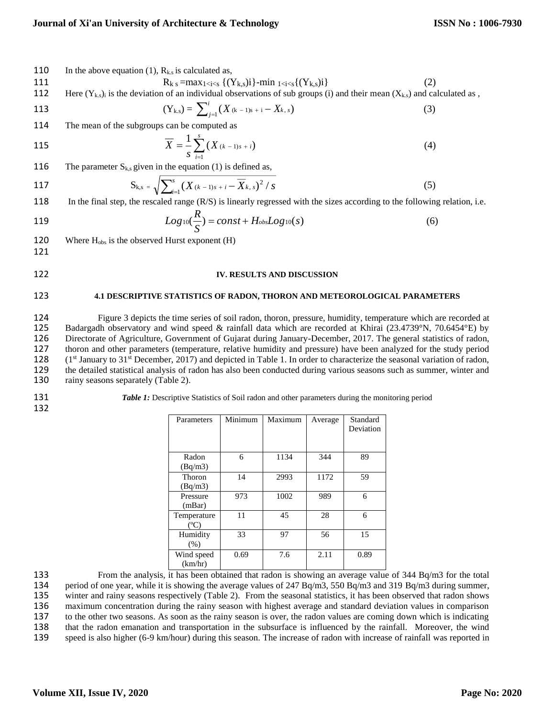110 In the above equation (1),  $R_{k,s}$  is calculated as,

111 
$$
R_{k s} = max_{1 < i < s} \{(Y_{k,s})i\} - min_{1 < i < s} \{(Y_{k,s})i\} \tag{2}
$$
\n112 Here  $(Y_{k,s})_i$  is the deviation of an individual observations of sub groups (i) and their mean  $(X_{k,s})$  and calculated as,  $(Y_{k,s}) = \sum_{j=1}^{i} (X_{(k-1)s+i} - X_{k,s}) \tag{3}$ \n114 The mean of the subgroups can be computed as\n
$$
\overline{X} = \frac{1}{s} \sum_{i=1}^{s} (X_{(k-1)s+i}) \tag{4}
$$

116 The parameter  $S_{k,s}$  given in the equation (1) is defined as,

117 
$$
S_{k,s} = \sqrt{\sum_{i=1}^{s} (X_{(k-1)s+i} - \overline{X}_{k,s})^2 / s}
$$
 (5)

118 In the final step, the rescaled range (R/S) is linearly regressed with the sizes according to the following relation, i.e.

119 
$$
Log_{10}(\frac{R}{S}) = const + H_{obs}Log_{10}(s)
$$
 (6)

120 Where  $H_{obs}$  is the observed Hurst exponent  $(H)$ 

121

 $1$ 

# 122 **IV. RESULTS AND DISCUSSION**

## 123 **4.1 DESCRIPTIVE STATISTICS OF RADON, THORON AND METEOROLOGICAL PARAMETERS**

124 Figure 3 depicts the time series of soil radon, thoron, pressure, humidity, temperature which are recorded at 125 Badargadh observatory and wind speed & rainfall data which are recorded at Khirai (23.4739°N, 70.6454°E) 125 Badargadh observatory and wind speed & rainfall data which are recorded at Khirai (23.4739°N, 70.6454°E) by<br>126 Directorate of Agriculture, Government of Gujarat during January-December, 2017. The general statistics of 126 Directorate of Agriculture, Government of Gujarat during January-December, 2017. The general statistics of radon, 127 thoron and other parameters (temperature, relative humidity and pressure) have been analyzed for the study period  $(1^{st}$  January to  $31^{st}$  December, 2017) and depicted in Table 1. In order to characterize the season  $(1<sup>st</sup> January to 31<sup>st</sup> December, 2017)$  and depicted in Table 1. In order to characterize the seasonal variation of radon, 129 the detailed statistical analysis of radon has also been conducted during various seasons such as summer, winter and 130 rainy seasons separately (Table 2).

132

131 **Table 1:** Descriptive Statistics of Soil radon and other parameters during the monitoring period

| Parameters                   | Minimum | Maximum | Average | Standard<br>Deviation |
|------------------------------|---------|---------|---------|-----------------------|
| Radon<br>(Bq/m3)             | 6       | 1134    | 344     | 89                    |
| <b>Thoron</b><br>(Bq/m3)     | 14      | 2993    | 1172    | 59                    |
| Pressure<br>(mBar)           | 973     | 1002    | 989     | 6                     |
| Temperature<br>$(^{\circ}C)$ | 11      | 45      | 28      | 6                     |
| Humidity<br>(% )             | 33      | 97      | 56      | 15                    |
| Wind speed<br>(km/hr)        | 0.69    | 7.6     | 2.11    | 0.89                  |

133 From the analysis, it has been obtained that radon is showing an average value of 344 Bq/m3 for the total 134 period of one year, while it is showing the average values of 247 Bq/m3, 550 Bq/m3 and 319 Bq/m3 during summer, 135 winter and rainy seasons respectively (Table 2). From the seasonal statistics, it has been observed that radon shows 136 maximum concentration during the rainy season with highest average and standard deviation values in comparison 137 to the other two seasons. As soon as the rainy season is over, the radon values are coming down which is indicating<br>138 that the radon emanation and transportation in the subsurface is influenced by the rainfall. Moreo 138 that the radon emanation and transportation in the subsurface is influenced by the rainfall. Moreover, the wind<br>139 speed is also higher (6-9 km/hour) during this season. The increase of radon with increase of rainfall speed is also higher (6-9 km/hour) during this season. The increase of radon with increase of rainfall was reported in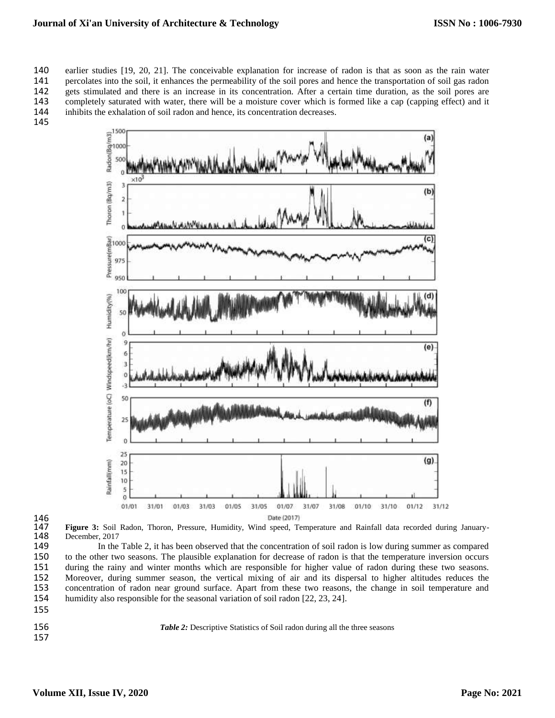earlier studies [19, 20, 21]. The conceivable explanation for increase of radon is that as soon as the rain water 141 percolates into the soil, it enhances the permeability of the soil pores and hence the transportation of soil gas radon<br>142 gets stimulated and there is an increase in its concentration. After a certain time duration, gets stimulated and there is an increase in its concentration. After a certain time duration, as the soil pores are completely saturated with water, there will be a moisture cover which is formed like a cap (capping effect) and it inhibits the exhalation of soil radon and hence, its concentration decreases.

145



146<br>147

147 **Figure 3:** Soil Radon, Thoron, Pressure, Humidity, Wind speed, Temperature and Rainfall data recorded during January-December, 2017

149 In the Table 2, it has been observed that the concentration of soil radon is low during summer as compared 150 to the other two seasons. The plausible explanation for decrease of radon is that the temperature inversion occurs 151 during the rainy and winter months which are responsible for higher value of radon during these two seasons.<br>152 Moreover, during summer season, the vertical mixing of air and its dispersal to higher altitudes reduces Moreover, during summer season, the vertical mixing of air and its dispersal to higher altitudes reduces the 153 concentration of radon near ground surface. Apart from these two reasons, the change in soil temperature and humidity also responsible for the seasonal variation of soil radon [22, 23, 24]. humidity also responsible for the seasonal variation of soil radon [22, 23, 24].

- 155
- 157

156 **Table 2:** Descriptive Statistics of Soil radon during all the three seasons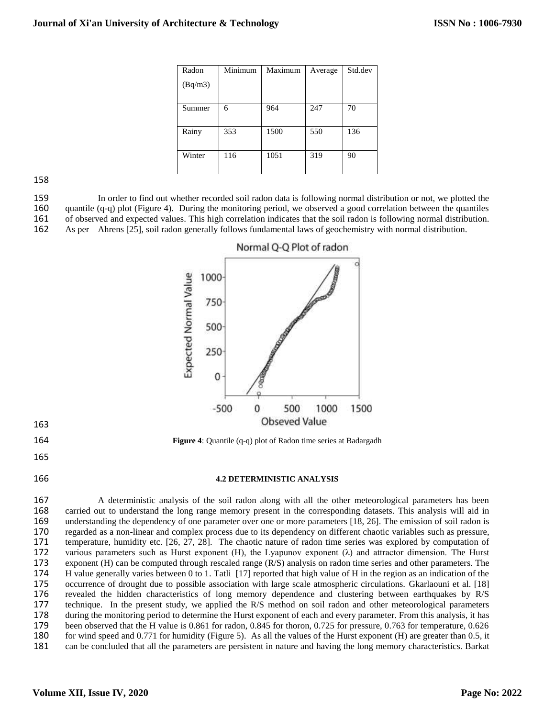| Radon   | Minimum | Maximum | Average | Std.dev |
|---------|---------|---------|---------|---------|
| (Bq/m3) |         |         |         |         |
|         |         |         |         |         |
| Summer  | 6       | 964     | 247     | 70      |
|         |         |         |         |         |
| Rainy   | 353     | 1500    | 550     | 136     |
|         |         |         |         |         |
| Winter  | 116     | 1051    | 319     | 90      |
|         |         |         |         |         |

158

159 In order to find out whether recorded soil radon data is following normal distribution or not, we plotted the<br>160 auantile (q-q) plot (Figure 4). During the monitoring period, we observed a good correlation between the 160 quantile (q-q) plot (Figure 4). During the monitoring period, we observed a good correlation between the quantiles of observed and expected values. This high correlation indicates that the soil radon is following norma 161 of observed and expected values. This high correlation indicates that the soil radon is following normal distribution.<br>162 As per Ahrens [25], soil radon generally follows fundamental laws of geochemistry with normal d As per Ahrens [25], soil radon generally follows fundamental laws of geochemistry with normal distribution.



164 **Figure 4**: Quantile (q-q) plot of Radon time series at Badargadh

165

163

### 166 **4.2 DETERMINISTIC ANALYSIS**

 A deterministic analysis of the soil radon along with all the other meteorological parameters has been carried out to understand the long range memory present in the corresponding datasets. This analysis will aid in understanding the dependency of one parameter over one or more parameters [18, 26]. The emission of soil radon is regarded as a non-linear and complex process due to its dependency on different chaotic variables such as pressure, temperature, humidity etc. [26, 27, 28]. The chaotic nature of radon time series was explored by computation of 172 various parameters such as Hurst exponent (H), the Lyapunov exponent ( $\lambda$ ) and attractor dimension. The Hurst exponent (H) can be computed through rescaled range (R/S) analysis on radon time series and other paramete 173 exponent (H) can be computed through rescaled range (R/S) analysis on radon time series and other parameters. The H value generally varies between 0 to 1. Tatli [17] reported that high value of H in the region as an in H value generally varies between 0 to 1. Tatli [17] reported that high value of H in the region as an indication of the occurrence of drought due to possible association with large scale atmospheric circulations. Gkarlaouni et al. [18] revealed the hidden characteristics of long memory dependence and clustering between earthquakes by R/S technique. In the present study, we applied the R/S method on soil radon and other meteorological parameters during the monitoring period to determine the Hurst exponent of each and every parameter. From this analysis, it has been observed that the H value is 0.861 for radon, 0.845 for thoron, 0.725 for pressure, 0.763 for temperature, 0.626 for wind speed and 0.771 for humidity (Figure 5). As all the values of the Hurst exponent (H) are greater than 0.5, it can be concluded that all the parameters are persistent in nature and having the long memory characteristics. Barkat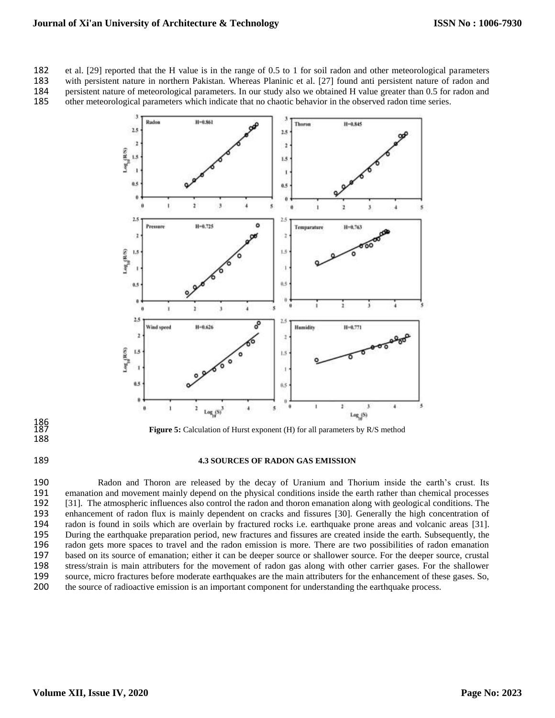182 et al. [29] reported that the H value is in the range of 0.5 to 1 for soil radon and other meteorological parameters

183 with persistent nature in northern Pakistan. Whereas Planinic et al. [27] found anti persistent nature of radon and persistent nature of meteorological parameters. In our study also we obtained H value greater than 0.5 184 persistent nature of meteorological parameters. In our study also we obtained H value greater than 0.5 for radon and other meteorological parameters which indicate that no chaotic behavior in the observed radon time se 185 other meteorological parameters which indicate that no chaotic behavior in the observed radon time series.



186<br>187 188

Figure 5: Calculation of Hurst exponent (H) for all parameters by R/S method

# 189 **4.3 SOURCES OF RADON GAS EMISSION**

 Radon and Thoron are released by the decay of Uranium and Thorium inside the earth's crust. Its 191 emanation and movement mainly depend on the physical conditions inside the earth rather than chemical processes 192 [31]. The atmospheric influences also control the radon and thoron emanation along with geological con [31]. The atmospheric influences also control the radon and thoron emanation along with geological conditions. The enhancement of radon flux is mainly dependent on cracks and fissures [30]. Generally the high concentration of 194 radon is found in soils which are overlain by fractured rocks i.e. earthquake prone areas and volcanic areas [31].<br>195 During the earthquake preparation period, new fractures and fissures are created inside the earth. During the earthquake preparation period, new fractures and fissures are created inside the earth. Subsequently, the radon gets more spaces to travel and the radon emission is more. There are two possibilities of radon emanation based on its source of emanation; either it can be deeper source or shallower source. For the deeper source, crustal stress/strain is main attributers for the movement of radon gas along with other carrier gases. For the shallower source, micro fractures before moderate earthquakes are the main attributers for the enhancement of these gases. So, the source of radioactive emission is an important component for understanding the earthquake process.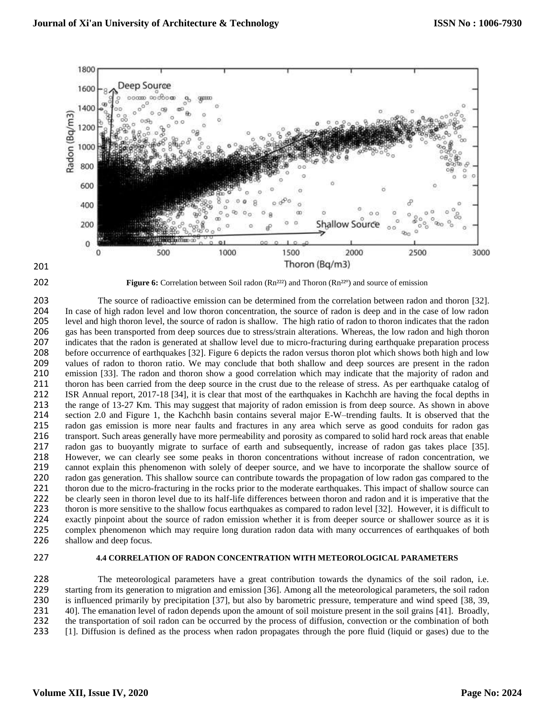



**202 Figure 6:** Correlation between Soil radon (Rn<sup>222</sup>) and Thoron (Rn<sup>22°</sup>) and source of emission

203 The source of radioactive emission can be determined from the correlation between radon and thoron [32]. 204 In case of high radon level and low thoron concentration, the source of radon is deep and in the case of low radon 205 level and high thoron level, the source of radon is shallow. The high ratio of radon to thoron indi level and high thoron level, the source of radon is shallow. The high ratio of radon to thoron indicates that the radon 206 gas has been transported from deep sources due to stress/strain alterations. Whereas, the low radon and high thoron 207 indicates that the radon is generated at shallow level due to micro-fracturing during earthquake preparation process 208 before occurrence of earthquakes [32]. Figure 6 depicts the radon versus thoron plot which shows both high and low 209 values of radon to thoron ratio. We may conclude that both shallow and deep sources are present in the radon<br>210 emission [33]. The radon and thoron show a good correlation which may indicate that the majority of radon 210 emission [33]. The radon and thoron show a good correlation which may indicate that the majority of radon and thoron has been carried from the deep source in the crust due to the release of stress. As per earthquake ca thoron has been carried from the deep source in the crust due to the release of stress. As per earthquake catalog of 212 ISR Annual report, 2017-18 [34], it is clear that most of the earthquakes in Kachchh are having the focal depths in 213 the range of 13-27 Km. This may suggest that majority of radon emission is from deep source. As shown in above<br>214 section 2.0 and Figure 1, the Kachchh basin contains several major E-W-trending faults. It is observed section 2.0 and Figure 1, the Kachchh basin contains several major E-W–trending faults. It is observed that the 215 radon gas emission is more near faults and fractures in any area which serve as good conduits for radon gas 216 transport. Such areas generally have more permeability and porosity as compared to solid hard rock areas that enable 217 radon gas to buoyantly migrate to surface of earth and subsequently, increase of radon gas takes place [35]. 218 However, we can clearly see some peaks in thoron concentrations without increase of radon concentration, we 219 cannot explain this phenomenon with solely of deeper source, and we have to incorporate the shallow source of <br>220 radon gas generation. This shallow source can contribute towards the propagation of low radon gas compa 220 radon gas generation. This shallow source can contribute towards the propagation of low radon gas compared to the<br>221 thoron due to the micro-fracturing in the rocks prior to the moderate earthquakes. This impact of sh 221 thoron due to the micro-fracturing in the rocks prior to the moderate earthquakes. This impact of shallow source can<br>222 be clearly seen in thoron level due to its half-life differences between thoron and radon and it 222 be clearly seen in thoron level due to its half-life differences between thoron and radon and it is imperative that the 223 thoron is more sensitive to the shallow focus earthquakes as compared to radon level [32]. However, it is difficult to 224 exactly pinpoint about the source of radon emission whether it is from deeper source or shallower source as it is<br>225 complex phenomenon which may require long duration radon data with many occurrences of earthquakes o complex phenomenon which may require long duration radon data with many occurrences of earthquakes of both 226 shallow and deep focus.

### 227 **4.4 CORRELATION OF RADON CONCENTRATION WITH METEOROLOGICAL PARAMETERS**

228 The meteorological parameters have a great contribution towards the dynamics of the soil radon, i.e.<br>229 starting from its generation to migration and emission [36]. Among all the meteorological parameters, the soil ra starting from its generation to migration and emission [36]. Among all the meteorological parameters, the soil radon is influenced primarily by precipitation [37], but also by barometric pressure, temperature and wind speed [38, 39, 40]. The emanation level of radon depends upon the amount of soil moisture present in the soil grains [41]. Broadly, the transportation of soil radon can be occurred by the process of diffusion, convection or the combination of both [1]. Diffusion is defined as the process when radon propagates through the pore fluid (liquid or gases) due to the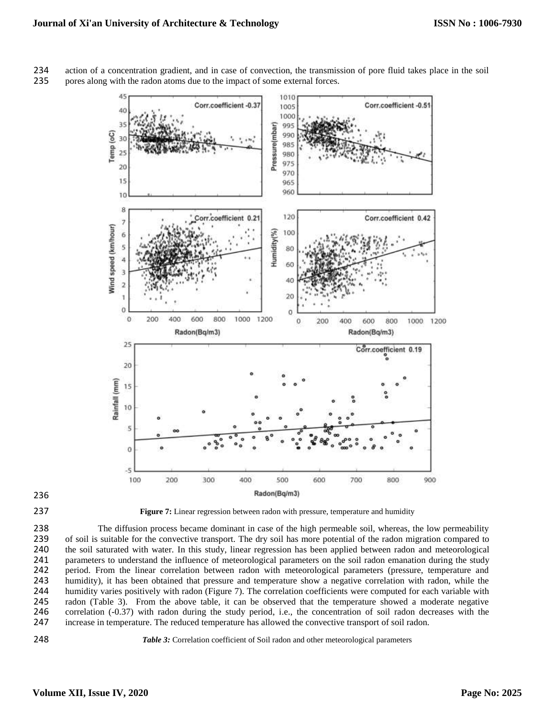

234 action of a concentration gradient, and in case of convection, the transmission of pore fluid takes place in the soil<br>235 bores along with the radon atoms due to the impact of some external forces. 235 pores along with the radon atoms due to the impact of some external forces.



237 **Figure 7:** Linear regression between radon with pressure, temperature and humidity

238 The diffusion process became dominant in case of the high permeable soil, whereas, the low permeability<br>239 of soil is suitable for the convective transport. The dry soil has more potential of the radon migration compa 239 of soil is suitable for the convective transport. The dry soil has more potential of the radon migration compared to 240 the soil saturated with water. In this study, linear regression has been applied between radon an 240 the soil saturated with water. In this study, linear regression has been applied between radon and meteorological 241 parameters to understand the influence of meteorological parameters on the soil radon emanation during the study 242 period. From the linear correlation between radon with meteorological parameters (pressure, temperature and 243 humidity), it has been obtained that pressure and temperature show a negative correlation with radon, while the 244 humidity varies positively with radon (Figure 7). The correlation coefficients were computed for each variable with 245 radon (Table 3). From the above table, it can be observed that the temperature showed a moderate negative correlation (-0.37) with radon during the study period, i.e., the concentration of soil radon decreases with the 246 correlation (-0.37) with radon during the study period, i.e., the concentration of soil radon decreases with the increase in temperature. The reduced temperature has allowed the convective transport of soil radon. increase in temperature. The reduced temperature has allowed the convective transport of soil radon.



248 *Table 3:* Correlation coefficient of Soil radon and other meteorological parameters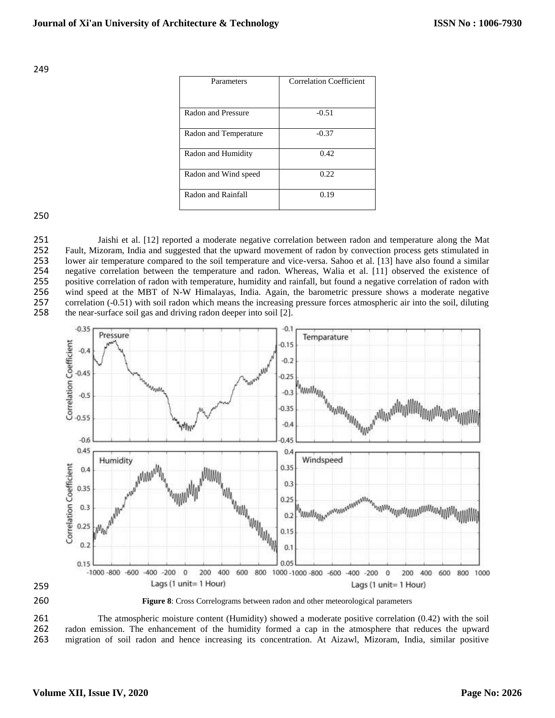249

| Parameters            | <b>Correlation Coefficient</b> |
|-----------------------|--------------------------------|
| Radon and Pressure    | $-0.51$                        |
| Radon and Temperature | $-0.37$                        |
| Radon and Humidity    | 0.42                           |
| Radon and Wind speed  | 0.22                           |
| Radon and Rainfall    | 0.19                           |

250

 Jaishi et al. [12] reported a moderate negative correlation between radon and temperature along the Mat Fault, Mizoram, India and suggested that the upward movement of radon by convection process gets stimulated in lower air temperature compared to the soil temperature and vice-versa. Sahoo et al. [13] have also found a similar 254 negative correlation between the temperature and radon. Whereas, Walia et al. [11] observed the existence of positive correlation of radon with temperature, humidity and rainfall, but found a negative correlation of ra positive correlation of radon with temperature, humidity and rainfall, but found a negative correlation of radon with wind speed at the MBT of N-W Himalayas, India. Again, the barometric pressure shows a moderate negative correlation (-0.51) with soil radon which means the increasing pressure forces atmospheric air into the soil, diluting the near-surface soil gas and driving radon deeper into soil [2].





260 **Figure 8**: Cross Correlograms between radon and other meteorological parameters

261 The atmospheric moisture content (Humidity) showed a moderate positive correlation (0.42) with the soil<br>262 radon emission. The enhancement of the humidity formed a cap in the atmosphere that reduces the upward 262 radon emission. The enhancement of the humidity formed a cap in the atmosphere that reduces the upward 263 migration of soil radon and hence increasing its concentration. At Aizawl, Mizoram, India, similar positive 263 migration of soil radon and hence increasing its concentration. At Aizawl, Mizoram, India, similar positive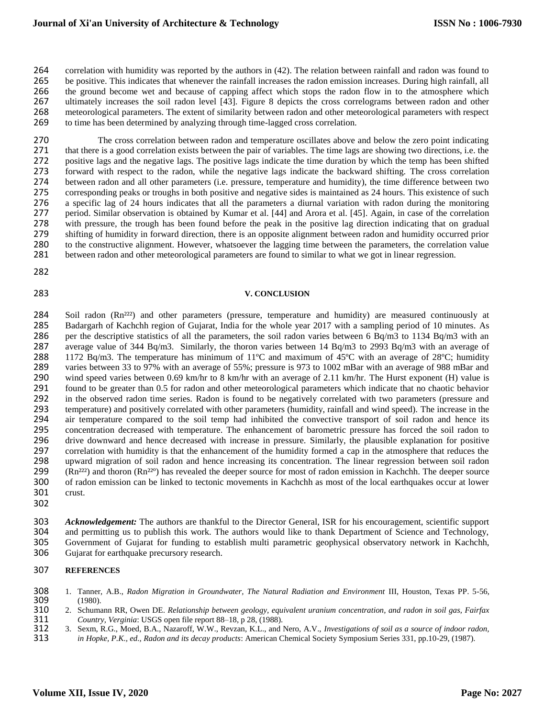correlation with humidity was reported by the authors in (42). The relation between rainfall and radon was found to 265 be positive. This indicates that whenever the rainfall increases the radon emission increases. During high rainfall, all 266 the ground become wet and because of capping affect which stops the radon flow in to the atmo the ground become wet and because of capping affect which stops the radon flow in to the atmosphere which ultimately increases the soil radon level [43]. Figure 8 depicts the cross correlograms between radon and other meteorological parameters. The extent of similarity between radon and other meteorological parameters with respect to time has been determined by analyzing through time-lagged cross correlation.

270 The cross correlation between radon and temperature oscillates above and below the zero point indicating 271 that there is a good correlation exists between the pair of variables. The time lags are showing two directions, i.e. the positive lags and the negative lags. The positive lags indicate the time duration by which the t positive lags and the negative lags. The positive lags indicate the time duration by which the temp has been shifted 273 forward with respect to the radon, while the negative lags indicate the backward shifting. The cross correlation 274 between radon and all other parameters (i.e. pressure, temperature and humidity), the time difference between two 275 corresponding peaks or troughs in both positive and negative sides is maintained as 24 hours. This existence of such 276 a specific lag of 24 hours indicates that all the parameters a diurnal variation with radon during the monitoring 277 period. Similar observation is obtained by Kumar et al. [44] and Arora et al. [45]. Again, in case of the correlation<br>278 with pressure, the trough has been found before the peak in the positive lag direction indicatin 278 with pressure, the trough has been found before the peak in the positive lag direction indicating that on gradual 279 shifting of humidity in forward direction, there is an opposite alignment between radon and humidity 279 shifting of humidity in forward direction, there is an opposite alignment between radon and humidity occurred prior<br>280 to the constructive alignment. However, whatsoever the lagging time between the parameters, the co 280 to the constructive alignment. However, whatsoever the lagging time between the parameters, the correlation value 281 between radon and other meteorological parameters are found to similar to what we got in linear regr between radon and other meteorological parameters are found to similar to what we got in linear regression.

282

### 283 **V. CONCLUSION**

284 Soil radon (Rn<sup>222</sup>) and other parameters (pressure, temperature and humidity) are measured continuously at 285 Badargarh of Kachchh region of Gujarat, India for the whole year 2017 with a sampling period of 10 minutes. As 286 per the descriptive statistics of all the parameters, the soil radon varies between 6 Bq/m3 to 1134 Bq/m3 with an 287 average value of 344 Bq/m3. Similarly, the thoron varies between 14 Bq/m3 to 2993 Bq/m3 with an average of 288 1172 Bq/m3. The temperature has minimum of 11ºC and maximum of 45ºC with an average of 28ºC; humidity 289 varies between 33 to 97% with an average of 55%; pressure is 973 to 1002 mBar with an average of 988 mBar and 290 wind speed varies between 0.69 km/hr to 8 km/hr with an average of 2.11 km/hr. The Hurst exponent (H) value is 291 found to be greater than 0.5 for radon and other meteorological parameters which indicate that no chaot 291 found to be greater than 0.5 for radon and other meteorological parameters which indicate that no chaotic behavior<br>292 in the observed radon time series. Radon is found to be negatively correlated with two parameters ( 292 in the observed radon time series. Radon is found to be negatively correlated with two parameters (pressure and 293 temperature) and positively correlated with other parameters (humidity, rainfall and wind speed). The 293 temperature) and positively correlated with other parameters (humidity, rainfall and wind speed). The increase in the 294 air temperature compared to the soil temp had inhibited the convective transport of soil radon and hence its<br>295 concentration decreased with temperature. The enhancement of barometric pressure has forced the soil rado 295 concentration decreased with temperature. The enhancement of barometric pressure has forced the soil radon to 296 drive downward and hence decreased with increase in pressure. Similarly, the plausible explanation for positive correlation with humidity is that the enhancement of the humidity formed a cap in the atmosphere that redu correlation with humidity is that the enhancement of the humidity formed a cap in the atmosphere that reduces the 298 upward migration of soil radon and hence increasing its concentration. The linear regression between soil radon  $299$  (Rn<sup>222</sup>) and thoron (Rn<sup>22°</sup>) has revealed the deeper source for most of radon emission in Kachchh. The deeper source 300 of radon emission can be linked to tectonic movements in Kachchh as most of the local earthquakes occur at lower crust.

302

303 *Acknowledgement:* The authors are thankful to the Director General, ISR for his encouragement, scientific support 304 and permitting us to publish this work. The authors would like to thank Department of Science and Technology, 305 Government of Gujarat for funding to establish multi parametric geophysical observatory network in Kachchh, 306 Gujarat for earthquake precursory research. Gujarat for earthquake precursory research.

# 307 **REFERENCES**

- 308 1. Tanner, A.B., *Radon Migration in Groundwater, The Natural Radiation and Environment* III, Houston, Texas PP. 5-56, 309 (1980).<br>310 2. Schuma
- 310 2. Schumann RR, Owen DE. *Relationship between geology, equivalent uranium concentration, and radon in soil gas, Fairfax*  311 *Country, Verginia*: USGS open file report 88–18, p 28, (1988).
- 312 3. Sexm, R.G., Moed, B.A., Nazaroff, W.W., Revzan, K.L., and Nero, A.V., *Investigations of soil as a source of indoor radon,*
- 313 *in Hopke, P.K., ed., Radon and its decay products*: American Chemical Society Symposium Series 331, pp.10-29, (1987).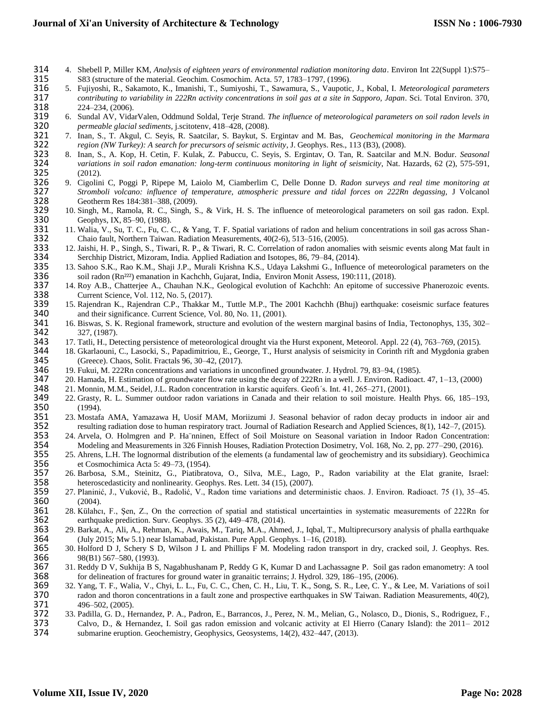- 314 4. Shebell P, Miller KM, *Analysis of eighteen years of environmental radiation monitoring data*. Environ Int 22(Suppl 1):S75– 315 S83 (structure of the material. Geochim. Cosmochim. Acta. 57, 1783–1797, (1996).
- 316 5. Fujiyoshi, R., Sakamoto, K., Imanishi, T., Sumiyoshi, T., Sawamura, S., Vaupotic, J., Kobal, I. *Meteorological parameters*  317 *contributing to variability in 222Rn activity concentrations in soil gas at a site in Sapporo, Japan*. Sci. Total Environ. 370, 224–234, (2006).
- 319 6. Sundal AV, VidarValen, Oddmund Soldal, Terje Strand. *The influence of meteorological parameters on soil radon levels in*  320 *permeable glacial sediments*, j.scitotenv, 418–428, (2008).
- 321 7. Inan, S., T. Akgul, C. Seyis, R. Saatcilar, S. Baykut, S. Ergintav and M. Bas, *Geochemical monitoring in the Marmara*
- 322 *region (NW Turkey): A search for precursors of seismic activity*, J. Geophys. Res., 113 (B3), (2008). 323 8. Inan, S., A. Kop, H. Cetin, F. Kulak, Z. Pabuccu, C. Seyis, S. Ergintav, O. Tan, R. Saatcilar and M.N. Bodur. *Seasonal*  324 *variations in soil radon emanation: long-term continuous monitoring in light of seismicity*, Nat. Hazards, 62 (2), 575-591,  $(2012).$
- 326 9. Cigolini C, Poggi P, Ripepe M, Laiolo M, Ciamberlim C, Delle Donne D. *Radon surveys and real time monitoring at*  327 *Stromboli volcano: influence of temperature, atmospheric pressure and tidal forces on 222Rn degassing,* J Volcanol 328 Geotherm Res 184:381–388, (2009).<br>329 10. Singh, M., Ramola, R. C., Singh, S.
- 329 10. Singh, M., Ramola, R. C., Singh, S., & Virk, H. S. The influence of meteorological parameters on soil gas radon. Expl.
- 330 Geophys, IX, 85–90, (1988).<br>331 11. Walia, V., Su, T. C., Fu, C. 0 331 11. Walia, V., Su, T. C., Fu, C. C., & Yang, T. F. Spatial variations of radon and helium concentrations in soil gas across Shan-<br>332 Chaio fault, Northern Taiwan. Radiation Measurements, 40(2-6), 513–516, (2005).
- 332 Chaio fault, Northern Taiwan. Radiation Measurements, 40(2-6), 513–516, (2005).<br>333 12. Jaishi, H. P., Singh, S., Tiwari, R. P., & Tiwari, R. C. Correlation of radon anoma 333 12. Jaishi, H. P., Singh, S., Tiwari, R. P., & Tiwari, R. C. Correlation of radon anomalies with seismic events along Mat fault in
- 334 Serchhip District, Mizoram, India. Applied Radiation and Isotopes, 86, 79–84, (2014). 335 13. Sahoo S.K., Rao K.M., Shaji J.P., Murali Krishna K.S., Udaya Lakshmi G., Influence of meteorological parameters on the soil radon (Rn<sup>222</sup>) emanation in Kachchh, Gujarat, India, Environ Monit Assess, 190:111, (2018
- 336 soil radon (Rn<sup>222</sup>) emanation in Kachchh, Gujarat, India, Environ Monit Assess, 190:111, (2018).<br>337 14. Roy A.B., Chatterjee A., Chauhan N.K., Geological evolution of Kachchh: An epitome of suc 337 14. Roy A.B., Chatterjee A., Chauhan N.K., Geological evolution of Kachchh: An epitome of successive Phanerozoic events.
- 338 Current Science, Vol. 112, No. 5, (2017).<br>339 15. Rajendran K., Rajendran C.P., Thakkar 339 15. Rajendran K., Rajendran C.P., Thakkar M., Tuttle M.P., The 2001 Kachchh (Bhuj) earthquake: coseismic surface features 340 and their significance. Current Science, Vol. 80, No. 11, (2001).<br>341 16. Biswas, S. K. Regional framework, structure and evolution of the
- 341 16. Biswas, S. K. Regional framework, structure and evolution of the western marginal basins of India, Tectonophys, 135, 302–<br>342 327, (1987). 342 327, (1987).<br>343 17. Tatli, H., De
- 343 17. Tatli, H., Detecting persistence of meteorological drought via the Hurst exponent, Meteorol. Appl. 22 (4), 763–769, (2015).
- 344 18. Gkarlaouni, C., Lasocki, S., Papadimitriou, E., George, T., Hurst analysis of seismicity in Corinth rift and Mygdonia graben 345 (Greece). Chaos, Solit. Fractals 96, 30–42, (2017).<br>346 19. Fukui, M. 222Rn concentrations and variations in
- 346 19. Fukui, M. 222Rn concentrations and variations in unconfined groundwater. J. Hydrol. 79, 83–94, (1985).
- 347 20. Hamada, H. Estimation of groundwater flow rate using the decay of 222Rn in a well. J. Environ. Radioact. 47, 1–13, (2000) 348 21. Monnin, M.M., Seidel, J.L. Radon concentration in karstic aquifers. Geofi's. Int. 41
	-
- 348 21. Monnin, M.M., Seidel, J.L. Radon concentration in karstic aquifers. Geofı´s. Int. 41, 265–271, (2001). 349 22. Grasty, R. L. Summer outdoor radon variations in Canada and their relation to soil moisture. Health Phys. 66, 185–193, **350** (1994).<br>**351** 23. Mostafa
- 351 23. Mostafa AMA, Yamazawa H, Uosif MAM, Moriizumi J. Seasonal behavior of radon decay products in indoor air and<br>352 resulting radiation dose to human respiratory tract. Journal of Radiation Research and Applied Scienc 352 resulting radiation dose to human respiratory tract. Journal of Radiation Research and Applied Sciences, 8(1), 142–7, (2015).
- 24. Arvela, O. Holmgren and P. Ha ninen, Effect of Soil Moisture on Seasonal variation in Indoor Radon Concentration:<br>354 Modeling and Measurements in 326 Finnish Houses, Radiation Protection Dosimetry, Vol. 168, No. 2, pp 354 Modeling and Measurements in 326 Finnish Houses, Radiation Protection Dosimetry, Vol. 168, No. 2, pp. 277–290, (2016).<br>355 25. Ahrens, L.H. The lognormal distribution of the elements (a fundamental law of geochemistry
- 355 25. Ahrens, L.H. The lognormal distribution of the elements (a fundamental law of geochemistry and its subsidiary). Geochimica<br>356 et Cosmochimica Acta 5: 49–73, (1954).
- 356 et Cosmochimica Acta 5: 49–73, (1954).<br>357 26. Barbosa, S.M., Steinitz, G., Piatibrato 357 26. Barbosa, S.M., Steinitz, G., Piatibratova, O., Silva, M.E., Lago, P., Radon variability at the Elat granite, Israel:
- 358 heteroscedasticity and nonlinearity. Geophys. Res. Lett. 34 (15), (2007).<br>359 27. Planinić, J., Vuković, B., Radolić, V., Radon time variations and deter-359 27. Planinić, J., Vuković, B., Radolić, V., Radon time variations and deterministic chaos. J. Environ. Radioact. 75 (1), 35–45.
- **360** (2004).<br>**361** 28. Külahc 361 28. Külahcı, F., Şen, Z., On the correction of spatial and statistical uncertainties in systematic measurements of 222Rn for
- 362 earthquake prediction. Surv. Geophys. 35 (2), 449–478, (2014). 363 29. Barkat, A., Ali, A., Rehman, K., Awais, M., Tariq, M.A., Ahmed, J., Iqbal, T., Multiprecursory analysis of phalla earthquake (July 2015; Mw 5.1) near Islamabad, Pakistan. Pure Appl. Geophys. 1–16, (2018). 364 (July 2015; Mw 5.1) near Islamabad, Pakistan. Pure Appl. Geophys. 1–16, (2018).
- 365 30. Holford D J, Schery S D, Wilson J L and Phillips F M. Modeling radon transport in dry, cracked soil, J. Geophys. Res. 366 98(B1) 567–580, (1993). **366** 98(B1) 567–580, (1993).<br>**367** 31. Reddy D V, Sukhija B S.
- 367 31. Reddy D V, Sukhija B S, Nagabhushanam P, Reddy G K, Kumar D and Lachassagne P. Soil gas radon emanometry: A tool 368 for delineation of fractures for ground water in granaitic terrains; J. Hydrol. 329, 186–195, (20 for delineation of fractures for ground water in granaitic terrains; J. Hydrol. 329, 186–195, (2006).
- 369 32. Yang, T. F., Walia, V., Chyi, L. L., Fu, C. C., Chen, C. H., Liu, T. K., Song, S. R., Lee, C. Y., & Lee, M. Variations of soil 370 radon and thoron concentrations in a fault zone and prospective earthquakes in SW Taiwan. Radiation Measurements, 40(2),
- 371 496–502, (2005).<br>372 33. Padilla, G. D., H 372 33. Padilla, G. D., Hernandez, P. A., Padron, E., Barrancos, J., Perez, N. M., Melian, G., Nolasco, D., Dionis, S., Rodriguez, F., Calvo, D., & Hernandez, I. Soil gas radon emission and volcanic activity at El Hierro (
- 373 Calvo, D., & Hernandez, I. Soil gas radon emission and volcanic activity at El Hierro (Canary Island): the 2011– 2012 submarine eruption. Geochemistry, Geophysics, Geosystems, 14(2), 432–447, (2013).